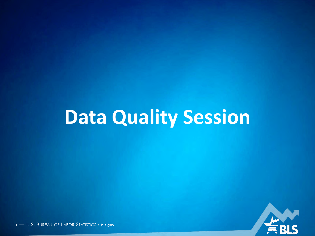# **Data Quality Session**

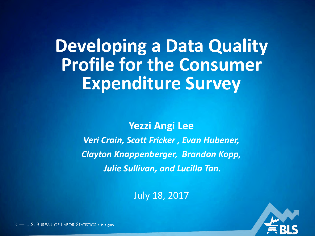**Developing a Data Quality Profile for the Consumer Expenditure Survey**

> **Yezzi Angi Lee** *Veri Crain, Scott Fricker , Evan Hubener, Clayton Knappenberger, Brandon Kopp, Julie Sullivan, and Lucilla Tan.*

> > July 18, 2017

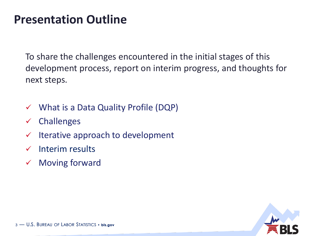## **Presentation Outline**

To share the challenges encountered in the initial stages of this development process, report on interim progress, and thoughts for next steps.

- $\checkmark$  What is a Data Quality Profile (DQP)
- $\checkmark$  Challenges
- $\checkmark$  Iterative approach to development
- Interim results
- $\checkmark$  Moving forward

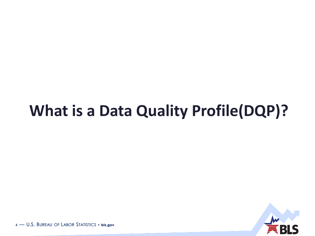# **What is a Data Quality Profile(DQP)?**

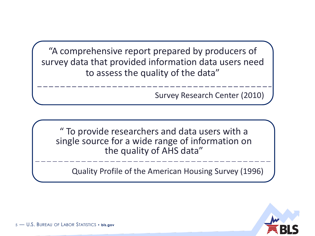"A comprehensive report prepared by producers of survey data that provided information data users need to assess the quality of the data"

Survey Research Center (2010)

" To provide researchers and data users with a single source for a wide range of information on the quality of AHS data"

Quality Profile of the American Housing Survey (1996)

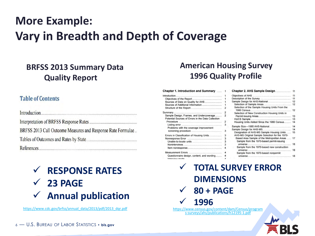## C **More Example: Vary in Breadth and Depth of Coverage**

### **BRFSS 2013 Summary Data Quality Report**

### **Table of Contents**

| BRFSS 2013 Call Outcome Measures and Response Rate Formulae |
|-------------------------------------------------------------|
|                                                             |
|                                                             |

## **RESPONSE RATES 23 PAGE Annual publication**

[https://www.cdc.gov/brfss/annual\\_data/2013/pdf/2013\\_dqr.pdf](https://www.cdc.gov/brfss/annual_data/2013/pdf/2013_dqr.pdf) [https://www.census.gov/content/dam/Census/program](https://www.census.gov/content/dam/Census/programs-surveys/ahs/publications/h12195-1.pdf)

### **American Housing Survey 1996 Quality Profile**

#### Chapter 1. Introduction and Summary ..... 1 (

|                                                    |   | Ωł |
|----------------------------------------------------|---|----|
|                                                    |   | De |
| Sources of Data on Quality for AHS                 |   | Sa |
| Sources of Additional Information                  |   |    |
|                                                    | 2 |    |
|                                                    | 2 |    |
| Sample Design, Frames, and Undercoverage           | 2 |    |
| Potential Sources of Errors in the Data Collection |   |    |
|                                                    | 2 |    |
|                                                    | 3 |    |
| Problems with the coverage improvement             |   | Sa |
|                                                    | 3 | Sa |
| Errors in Classification of Housing Units          | з |    |
|                                                    | 3 |    |
|                                                    | 3 |    |
|                                                    | 3 |    |
| Item nonresponse                                   |   |    |
|                                                    |   |    |
| Questionnaire design, content, and wording         | 4 |    |
| Intensious mode                                    |   |    |

| Sample Design for AHS-National  12                                                       |    |
|------------------------------------------------------------------------------------------|----|
|                                                                                          |    |
| Selection of the Sample Housing Units From the                                           |    |
| 1980 Census                                                                              | 12 |
| Selection of New Construction Housing Units in                                           |    |
|                                                                                          |    |
|                                                                                          |    |
| Housing Units Added Since the 1980 Census 14                                             |    |
|                                                                                          |    |
| Sample Design for AHS-MS.                                                                | 14 |
| Designation of AHS-MS Sample Housing Units                                               | 15 |
| AHS-MS Original Sample Selection for the 1970-                                           |    |
| Based Area Sample of the Metropolitan Areas<br>Sample from the 1970-based permit-issuing | 17 |
|                                                                                          | 18 |
| Sample from the 1970-based new construction                                              |    |
|                                                                                          |    |
| Sample from the 1970-based nonpermit                                                     |    |
|                                                                                          |    |

s-surveys/ahs/publications/h12195-1.pdf **TOTAL SURVEY ERROR DIMENSIONS 80 + PAGE 1996**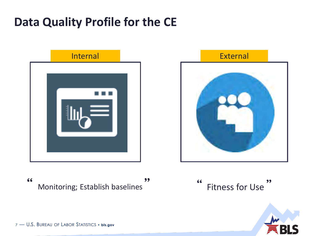# **Data Quality Profile for the CE**



66  $99$ Monitoring; Establish baselines



 $66$  $99$ **Fitness for Use** 

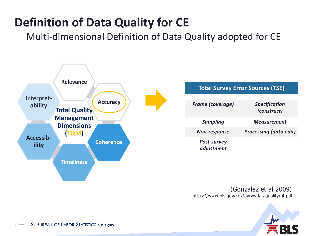# **Definition of Data Quality for CE**

Multi-dimensional Definition of Data Quality adopted for CE



(Gonzalez et al 2009) https://www.bls.gov/cex/ovrvwdataqualityrpt.pdf

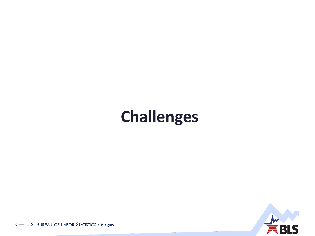# **Challenges**

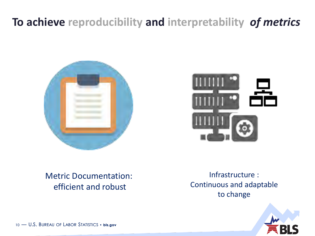# **To achieve reproducibility and interpretability** *of metrics*





### Metric Documentation: efficient and robust

Infrastructure : Continuous and adaptable to change

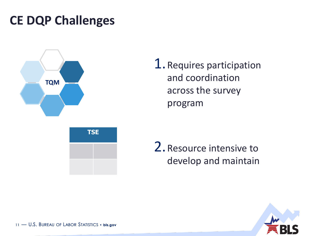# **CE DQP Challenges**







2.Resource intensive to develop and maintain

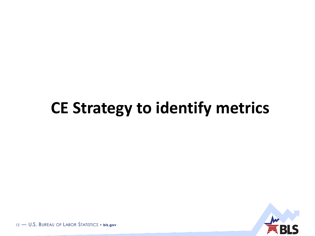# CE Strategy to identify metrics

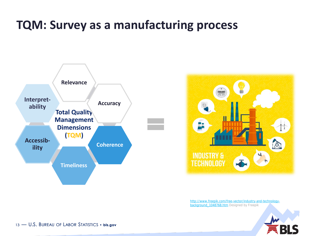# **TQM: Survey as a manufacturing process**





[http://www.freepik.com/free-vector/industry-and-technology](http://www.freepik.com/free-vector/industry-and-technology-background_1048768.htm)background\_1048768.htm Designed by Freepik

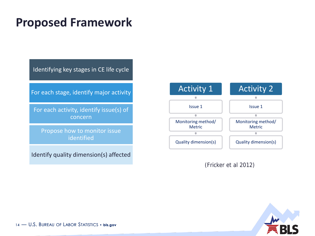## **Proposed Framework**

Identifying key stages in CE life cycle

For each stage, identify major activity

For each activity, identify issue(s) of concern

Propose how to monitor issue identified

Identify quality dimension(s) affected



(Fricker et al 2012)

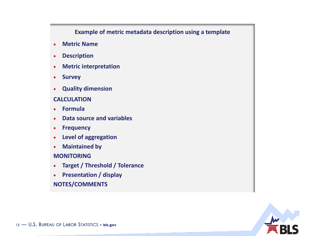### **Example of metric metadata description using a template**

- **Metric Name**
- **Description**
- **Metric interpretation**
- **Survey**
- **Quality dimension**

### **CALCULATION**

- **Formula**
- **Data source and variables**
- **Frequency**
- **Level of aggregation**
- **Maintained by**

### **MONITORING**

- **Target / Threshold / Tolerance**
- **Presentation / display NOTES/COMMENTS**

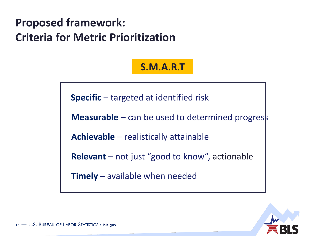# **Proposed framework: Criteria for Metric Prioritization**

### **S.M.A.R.T**

**Specific** – targeted at identified risk

**Measurable** – can be used to determined progress

**Achievable** – realistically attainable

**Relevant** – not just "good to know", actionable

**Timely** – available when needed

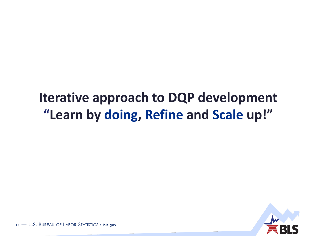# **Iterative approach to DQP development "Learn by doing, Refine and Scale up!"**

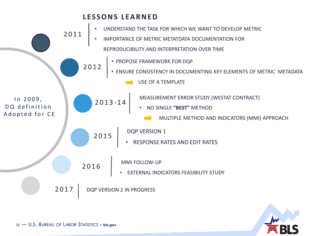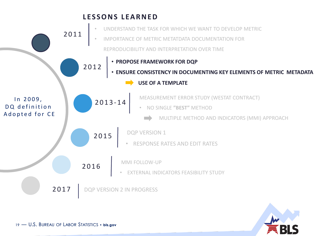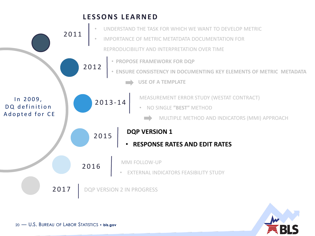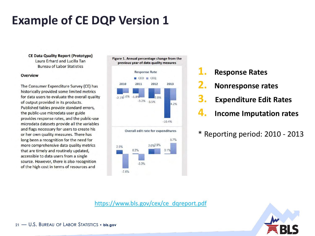# **Example of CE DQP Version 1**

**CE Data Quality Report (Prototype)** Laura Erhard and Lucilla Tan **Bureau of Labor Statistics** 

### **Overview**

The Consumer Expenditure Survey (CE) has historically provided some limited metrics for data users to evaluate the overall quality of output provided in its products. Published tables provide standard errors, the public-use microdata user guide provides response rates, and the public-use microdata datasets provide all the variables and flags necessary for users to create his or her own quality measures. There has long been a recognition for the need for more comprehensive data quality metrics that are timely and routinely updated, accessible to data users from a single source. However, there is also recognition of the high cost in terms of resources and

Figure 1. Annual percentage change from the previous year of data quality meaures



- **1. Response Rates**
- **2. Nonresponse rates**
- **3. Expenditure Edit Rates**
- **4. Income Imputation rates**
- \* Reporting period: 2010 2013

[https://www.bls.gov/cex/ce\\_dqreport.pdf](https://www.bls.gov/cex/ce_dqreport.pdf)

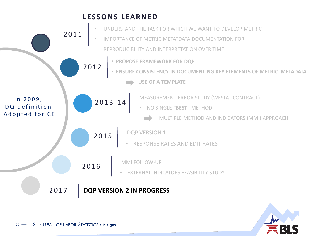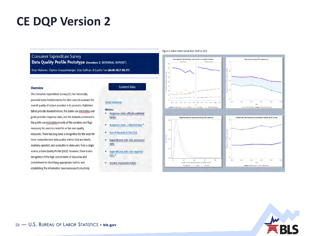## **CE DQP Version 2**

### **Consumer Expenditure Survey** Data Quality Profile Prototype (iteration 2: INTERNAL REPORT) Evan Hubener, Clayton Knappenberger, Julie Sullivan, & Lucilla Tan (draft 2017.06.27)

### **Overview**

The Consumer Expenditure Survey (CE) has historically provided some limited metrics for data users to evaluate the overall quality of output provided in its products. Published tables provide standard errors; the public-use microdata user guide provides response rates, and the datasets contained in the public-use microdata provide all the variables and flags necessary for users to create his or her own quality measures. There has long been a recognition for the need for more comprehensive data quality metrics that are timely, routinely updated, and accessible to data users from a single source, a Data Quality Profile (DQP). However, there is also recognition of the high cost in terms of resources and commitment to identifying appropriate metrics and establishing the information base necessary to routinely

### **Content links**

#### **Visual Summary**

#### **Metrics:**

- . Response rates: official published tables
- Response rates: collected data\*
- Use of Records in the CEQ
- · Expenditures edit rate: processed data
- · Expenditures edit rate: reported data \*
- . Income Imputation Rates

#### Figure 1. Select metric trends from 2010 to 2015



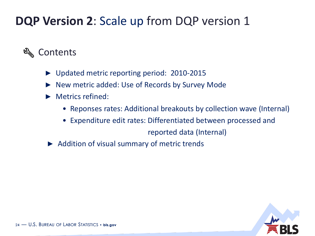# **DQP Version 2**: Scale up from DQP version 1

### ⊵ Contents

- ► Updated metric reporting period: 2010-2015
- ► New metric added: Use of Records by Survey Mode
- ► Metrics refined:
	- Reponses rates: Additional breakouts by collection wave (Internal)
	- Expenditure edit rates: Differentiated between processed and

reported data (Internal)

► Addition of visual summary of metric trends

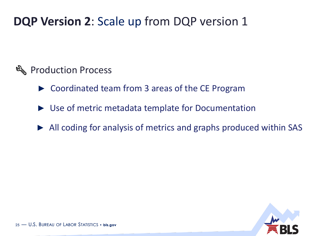# **DQP Version 2**: Scale up from DQP version 1

### **&** Production Process

- ► Coordinated team from 3 areas of the CE Program
- ► Use of metric metadata template for Documentation
- ► All coding for analysis of metrics and graphs produced within SAS

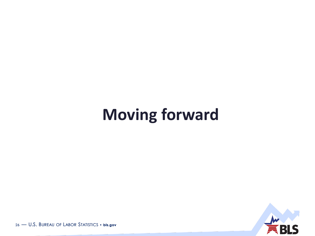# **Moving forward**

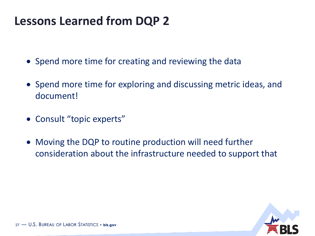# **Lessons Learned from DQP 2**

- Spend more time for creating and reviewing the data
- Spend more time for exploring and discussing metric ideas, and document!
- Consult "topic experts"
- Moving the DQP to routine production will need further consideration about the infrastructure needed to support that

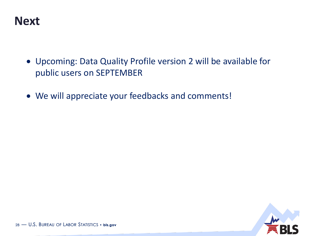

- Upcoming: Data Quality Profile version 2 will be available for public users on SEPTEMBER
- We will appreciate your feedbacks and comments!